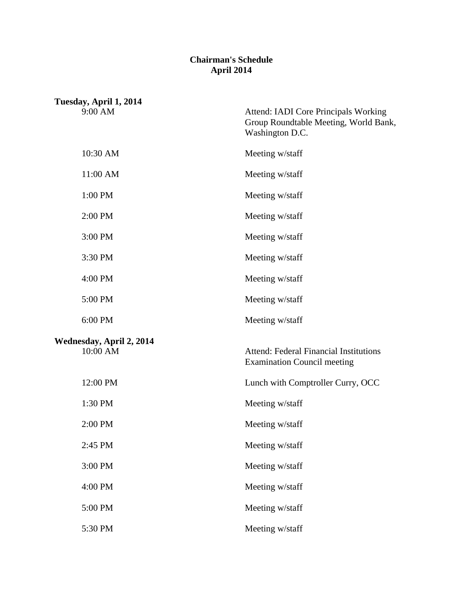## **Chairman's Schedule April 2014**

|                                      | Tuesday, April 1, 2014 |                                                                                                  |
|--------------------------------------|------------------------|--------------------------------------------------------------------------------------------------|
|                                      | 9:00 AM                | Attend: IADI Core Principals Working<br>Group Roundtable Meeting, World Bank,<br>Washington D.C. |
|                                      | 10:30 AM               | Meeting w/staff                                                                                  |
|                                      | 11:00 AM               | Meeting w/staff                                                                                  |
|                                      | 1:00 PM                | Meeting w/staff                                                                                  |
|                                      | 2:00 PM                | Meeting w/staff                                                                                  |
|                                      | 3:00 PM                | Meeting w/staff                                                                                  |
|                                      | 3:30 PM                | Meeting w/staff                                                                                  |
|                                      | 4:00 PM                | Meeting w/staff                                                                                  |
|                                      | 5:00 PM                | Meeting w/staff                                                                                  |
|                                      | 6:00 PM                | Meeting w/staff                                                                                  |
| Wednesday, April 2, 2014<br>10:00 AM |                        | <b>Attend: Federal Financial Institutions</b><br><b>Examination Council meeting</b>              |
|                                      | 12:00 PM               | Lunch with Comptroller Curry, OCC                                                                |
|                                      | 1:30 PM                | Meeting w/staff                                                                                  |
|                                      | 2:00 PM                | Meeting w/staff                                                                                  |
|                                      | 2:45 PM                | Meeting w/staff                                                                                  |
|                                      | 3:00 PM                | Meeting w/staff                                                                                  |
|                                      | 4:00 PM                | Meeting w/staff                                                                                  |
|                                      | 5:00 PM                | Meeting w/staff                                                                                  |
|                                      | 5:30 PM                | Meeting w/staff                                                                                  |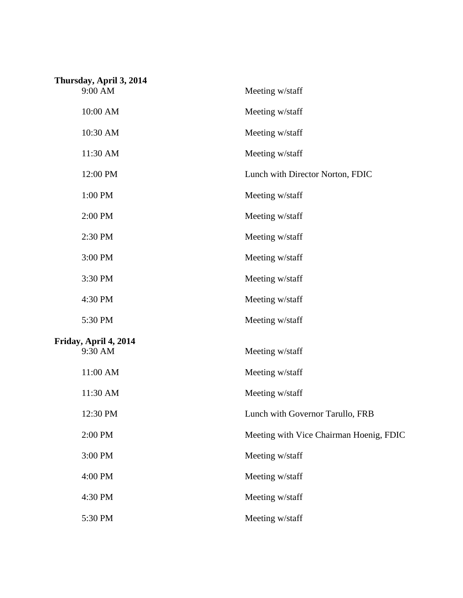| Thursday, April 3, 2014 |                                         |
|-------------------------|-----------------------------------------|
| 9:00 AM                 | Meeting w/staff                         |
| 10:00 AM                | Meeting w/staff                         |
| 10:30 AM                | Meeting w/staff                         |
| 11:30 AM                | Meeting w/staff                         |
| 12:00 PM                | Lunch with Director Norton, FDIC        |
| 1:00 PM                 | Meeting w/staff                         |
| 2:00 PM                 | Meeting w/staff                         |
| 2:30 PM                 | Meeting w/staff                         |
| 3:00 PM                 | Meeting w/staff                         |
| 3:30 PM                 | Meeting w/staff                         |
| 4:30 PM                 | Meeting w/staff                         |
| 5:30 PM                 | Meeting w/staff                         |
| Friday, April 4, 2014   |                                         |
| 9:30 AM                 | Meeting w/staff                         |
| 11:00 AM                | Meeting w/staff                         |
| 11:30 AM                | Meeting w/staff                         |
| 12:30 PM                | Lunch with Governor Tarullo, FRB        |
| 2:00 PM                 | Meeting with Vice Chairman Hoenig, FDIC |
| 3:00 PM                 | Meeting w/staff                         |
| 4:00 PM                 | Meeting w/staff                         |
| 4:30 PM                 | Meeting w/staff                         |
| 5:30 PM                 | Meeting w/staff                         |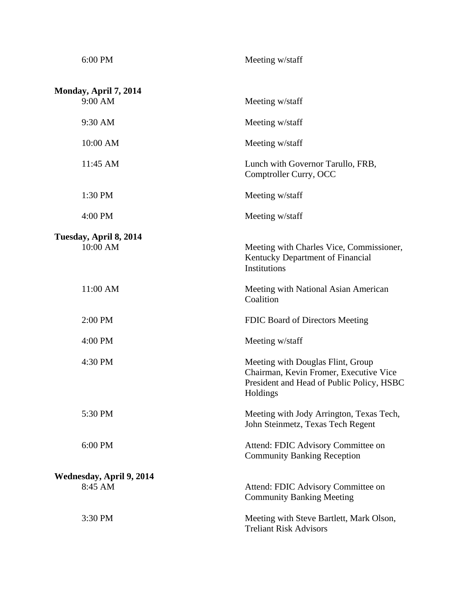| 6:00 PM                  | Meeting w/staff                                                                                                                      |
|--------------------------|--------------------------------------------------------------------------------------------------------------------------------------|
| Monday, April 7, 2014    |                                                                                                                                      |
| 9:00 AM                  | Meeting w/staff                                                                                                                      |
| 9:30 AM                  | Meeting w/staff                                                                                                                      |
| 10:00 AM                 | Meeting w/staff                                                                                                                      |
| 11:45 AM                 | Lunch with Governor Tarullo, FRB,<br>Comptroller Curry, OCC                                                                          |
| 1:30 PM                  | Meeting w/staff                                                                                                                      |
| 4:00 PM                  | Meeting w/staff                                                                                                                      |
| Tuesday, April 8, 2014   |                                                                                                                                      |
| 10:00 AM                 | Meeting with Charles Vice, Commissioner,<br>Kentucky Department of Financial<br>Institutions                                         |
| 11:00 AM                 | Meeting with National Asian American<br>Coalition                                                                                    |
| 2:00 PM                  | FDIC Board of Directors Meeting                                                                                                      |
| 4:00 PM                  | Meeting w/staff                                                                                                                      |
| 4:30 PM                  | Meeting with Douglas Flint, Group<br>Chairman, Kevin Fromer, Executive Vice<br>President and Head of Public Policy, HSBC<br>Holdings |
| 5:30 PM                  | Meeting with Jody Arrington, Texas Tech,<br>John Steinmetz, Texas Tech Regent                                                        |
| 6:00 PM                  | Attend: FDIC Advisory Committee on<br><b>Community Banking Reception</b>                                                             |
| Wednesday, April 9, 2014 |                                                                                                                                      |
| 8:45 AM                  | Attend: FDIC Advisory Committee on<br><b>Community Banking Meeting</b>                                                               |
| 3:30 PM                  | Meeting with Steve Bartlett, Mark Olson,<br><b>Treliant Risk Advisors</b>                                                            |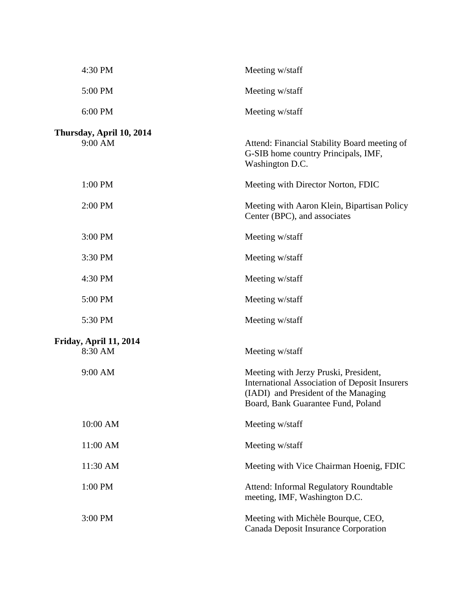| 4:30 PM                             | Meeting w/staff                                                                                                                                                             |
|-------------------------------------|-----------------------------------------------------------------------------------------------------------------------------------------------------------------------------|
| 5:00 PM                             | Meeting w/staff                                                                                                                                                             |
| 6:00 PM                             | Meeting w/staff                                                                                                                                                             |
| Thursday, April 10, 2014<br>9:00 AM | Attend: Financial Stability Board meeting of<br>G-SIB home country Principals, IMF,<br>Washington D.C.                                                                      |
| 1:00 PM                             | Meeting with Director Norton, FDIC                                                                                                                                          |
| 2:00 PM                             | Meeting with Aaron Klein, Bipartisan Policy<br>Center (BPC), and associates                                                                                                 |
| 3:00 PM                             | Meeting w/staff                                                                                                                                                             |
| 3:30 PM                             | Meeting w/staff                                                                                                                                                             |
| 4:30 PM                             | Meeting w/staff                                                                                                                                                             |
| 5:00 PM                             | Meeting w/staff                                                                                                                                                             |
| 5:30 PM                             | Meeting w/staff                                                                                                                                                             |
| Friday, April 11, 2014<br>8:30 AM   | Meeting w/staff                                                                                                                                                             |
| 9:00 AM                             | Meeting with Jerzy Pruski, President,<br><b>International Association of Deposit Insurers</b><br>(IADI) and President of the Managing<br>Board, Bank Guarantee Fund, Poland |
| 10:00 AM                            | Meeting w/staff                                                                                                                                                             |
| 11:00 AM                            | Meeting w/staff                                                                                                                                                             |
| 11:30 AM                            | Meeting with Vice Chairman Hoenig, FDIC                                                                                                                                     |
| 1:00 PM                             | Attend: Informal Regulatory Roundtable<br>meeting, IMF, Washington D.C.                                                                                                     |
| 3:00 PM                             | Meeting with Michèle Bourque, CEO,<br>Canada Deposit Insurance Corporation                                                                                                  |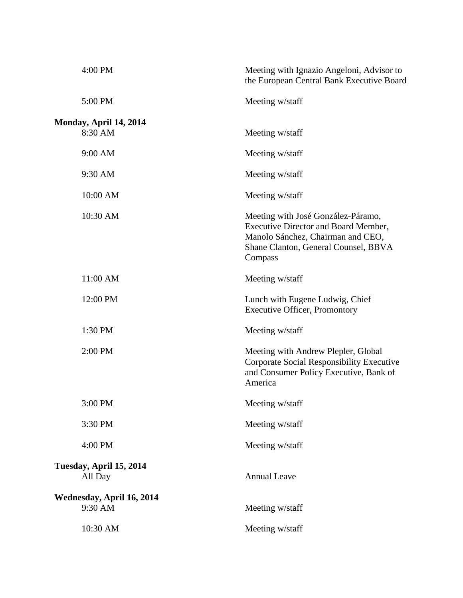| 4:00 PM                              | Meeting with Ignazio Angeloni, Advisor to<br>the European Central Bank Executive Board                                                                                    |
|--------------------------------------|---------------------------------------------------------------------------------------------------------------------------------------------------------------------------|
| 5:00 PM                              | Meeting w/staff                                                                                                                                                           |
| Monday, April 14, 2014               |                                                                                                                                                                           |
| 8:30 AM                              | Meeting w/staff                                                                                                                                                           |
| 9:00 AM                              | Meeting w/staff                                                                                                                                                           |
| 9:30 AM                              | Meeting w/staff                                                                                                                                                           |
| 10:00 AM                             | Meeting w/staff                                                                                                                                                           |
| 10:30 AM                             | Meeting with José González-Páramo,<br><b>Executive Director and Board Member,</b><br>Manolo Sánchez, Chairman and CEO,<br>Shane Clanton, General Counsel, BBVA<br>Compass |
| 11:00 AM                             | Meeting w/staff                                                                                                                                                           |
| 12:00 PM                             | Lunch with Eugene Ludwig, Chief<br><b>Executive Officer, Promontory</b>                                                                                                   |
| 1:30 PM                              | Meeting w/staff                                                                                                                                                           |
| 2:00 PM                              | Meeting with Andrew Plepler, Global<br>Corporate Social Responsibility Executive<br>and Consumer Policy Executive, Bank of<br>America                                     |
| 3:00 PM                              | Meeting w/staff                                                                                                                                                           |
| 3:30 PM                              | Meeting w/staff                                                                                                                                                           |
| 4:00 PM                              | Meeting w/staff                                                                                                                                                           |
| Tuesday, April 15, 2014<br>All Day   | <b>Annual Leave</b>                                                                                                                                                       |
| Wednesday, April 16, 2014<br>9:30 AM | Meeting w/staff                                                                                                                                                           |
| 10:30 AM                             | Meeting w/staff                                                                                                                                                           |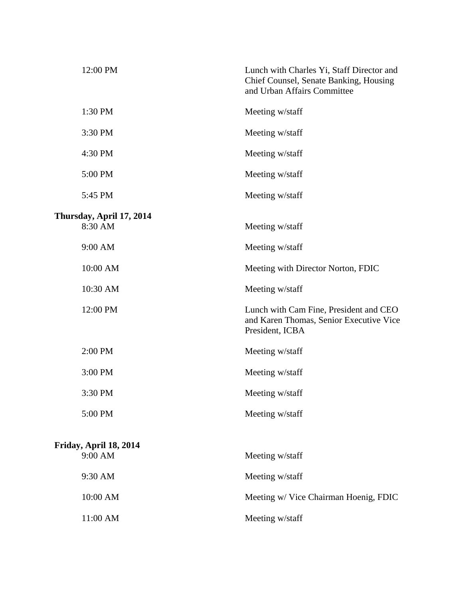| 12:00 PM                          | Lunch with Charles Yi, Staff Director and<br>Chief Counsel, Senate Banking, Housing<br>and Urban Affairs Committee |
|-----------------------------------|--------------------------------------------------------------------------------------------------------------------|
| 1:30 PM                           | Meeting w/staff                                                                                                    |
| 3:30 PM                           | Meeting w/staff                                                                                                    |
| 4:30 PM                           | Meeting w/staff                                                                                                    |
| 5:00 PM                           | Meeting w/staff                                                                                                    |
| 5:45 PM                           | Meeting w/staff                                                                                                    |
| Thursday, April 17, 2014          |                                                                                                                    |
| 8:30 AM                           | Meeting w/staff                                                                                                    |
| 9:00 AM                           | Meeting w/staff                                                                                                    |
| 10:00 AM                          | Meeting with Director Norton, FDIC                                                                                 |
| 10:30 AM                          | Meeting w/staff                                                                                                    |
| 12:00 PM                          | Lunch with Cam Fine, President and CEO<br>and Karen Thomas, Senior Executive Vice<br>President, ICBA               |
| 2:00 PM                           | Meeting w/staff                                                                                                    |
| 3:00 PM                           | Meeting w/staff                                                                                                    |
| 3:30 PM                           | Meeting w/staff                                                                                                    |
| 5:00 PM                           | Meeting w/staff                                                                                                    |
|                                   |                                                                                                                    |
| Friday, April 18, 2014<br>9:00 AM | Meeting w/staff                                                                                                    |
| 9:30 AM                           | Meeting w/staff                                                                                                    |
| 10:00 AM                          | Meeting w/ Vice Chairman Hoenig, FDIC                                                                              |
| 11:00 AM                          | Meeting w/staff                                                                                                    |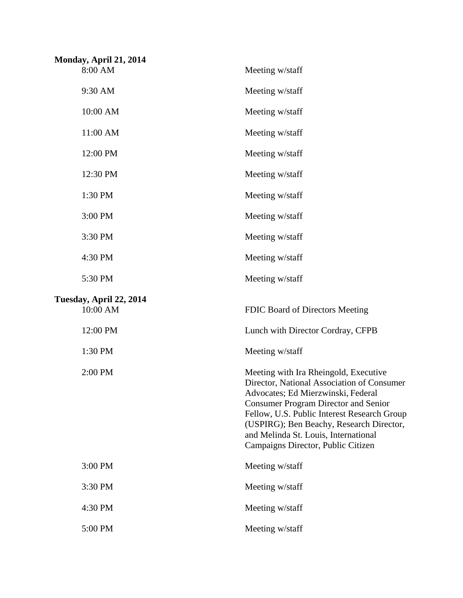| Monday, April 21, 2014<br>8:00 AM   | Meeting w/staff                                                                                                                                                                                                                                                                                                                                   |
|-------------------------------------|---------------------------------------------------------------------------------------------------------------------------------------------------------------------------------------------------------------------------------------------------------------------------------------------------------------------------------------------------|
| 9:30 AM                             | Meeting w/staff                                                                                                                                                                                                                                                                                                                                   |
| 10:00 AM                            | Meeting w/staff                                                                                                                                                                                                                                                                                                                                   |
| 11:00 AM                            | Meeting w/staff                                                                                                                                                                                                                                                                                                                                   |
| 12:00 PM                            | Meeting w/staff                                                                                                                                                                                                                                                                                                                                   |
| 12:30 PM                            | Meeting w/staff                                                                                                                                                                                                                                                                                                                                   |
| 1:30 PM                             | Meeting w/staff                                                                                                                                                                                                                                                                                                                                   |
| 3:00 PM                             | Meeting w/staff                                                                                                                                                                                                                                                                                                                                   |
| 3:30 PM                             | Meeting w/staff                                                                                                                                                                                                                                                                                                                                   |
| 4:30 PM                             | Meeting w/staff                                                                                                                                                                                                                                                                                                                                   |
| 5:30 PM                             | Meeting w/staff                                                                                                                                                                                                                                                                                                                                   |
| Tuesday, April 22, 2014<br>10:00 AM | FDIC Board of Directors Meeting                                                                                                                                                                                                                                                                                                                   |
| 12:00 PM                            | Lunch with Director Cordray, CFPB                                                                                                                                                                                                                                                                                                                 |
| 1:30 PM                             | Meeting w/staff                                                                                                                                                                                                                                                                                                                                   |
| 2:00 PM                             | Meeting with Ira Rheingold, Executive<br>Director, National Association of Consumer<br>Advocates; Ed Mierzwinski, Federal<br><b>Consumer Program Director and Senior</b><br>Fellow, U.S. Public Interest Research Group<br>(USPIRG); Ben Beachy, Research Director,<br>and Melinda St. Louis, International<br>Campaigns Director, Public Citizen |
| 3:00 PM                             | Meeting w/staff                                                                                                                                                                                                                                                                                                                                   |
| 3:30 PM                             | Meeting w/staff                                                                                                                                                                                                                                                                                                                                   |
| 4:30 PM                             | Meeting w/staff                                                                                                                                                                                                                                                                                                                                   |
| 5:00 PM                             | Meeting w/staff                                                                                                                                                                                                                                                                                                                                   |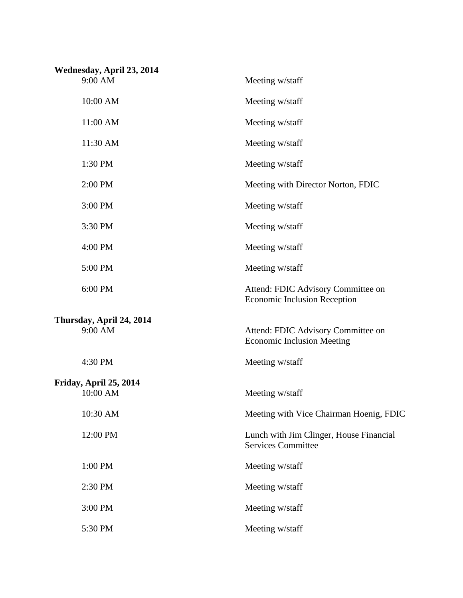| Wednesday, April 23, 2014           |                                                                           |
|-------------------------------------|---------------------------------------------------------------------------|
| 9:00 AM                             | Meeting w/staff                                                           |
| 10:00 AM                            | Meeting w/staff                                                           |
| 11:00 AM                            | Meeting w/staff                                                           |
| 11:30 AM                            | Meeting w/staff                                                           |
| 1:30 PM                             | Meeting w/staff                                                           |
| 2:00 PM                             | Meeting with Director Norton, FDIC                                        |
| 3:00 PM                             | Meeting w/staff                                                           |
| 3:30 PM                             | Meeting w/staff                                                           |
| 4:00 PM                             | Meeting w/staff                                                           |
| 5:00 PM                             | Meeting w/staff                                                           |
| 6:00 PM                             | Attend: FDIC Advisory Committee on<br><b>Economic Inclusion Reception</b> |
| Thursday, April 24, 2014<br>9:00 AM | Attend: FDIC Advisory Committee on<br><b>Economic Inclusion Meeting</b>   |
| 4:30 PM                             | Meeting w/staff                                                           |
| Friday, April 25, 2014<br>10:00 AM  | Meeting w/staff                                                           |
| 10:30 AM                            | Meeting with Vice Chairman Hoenig, FDIC                                   |
| 12:00 PM                            | Lunch with Jim Clinger, House Financial<br><b>Services Committee</b>      |
| 1:00 PM                             | Meeting w/staff                                                           |
| 2:30 PM                             | Meeting w/staff                                                           |
| 3:00 PM                             | Meeting w/staff                                                           |
| 5:30 PM                             | Meeting w/staff                                                           |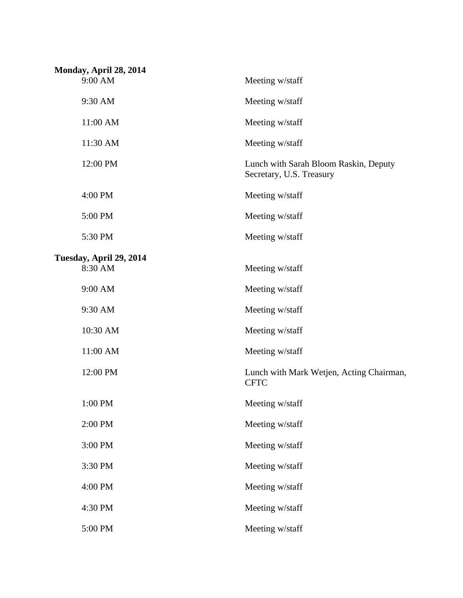| Monday, April 28, 2014<br>9:00 AM | Meeting w/staff                                                   |
|-----------------------------------|-------------------------------------------------------------------|
| 9:30 AM                           | Meeting w/staff                                                   |
|                                   |                                                                   |
| 11:00 AM                          | Meeting w/staff                                                   |
| 11:30 AM                          | Meeting w/staff                                                   |
| 12:00 PM                          | Lunch with Sarah Bloom Raskin, Deputy<br>Secretary, U.S. Treasury |
| 4:00 PM                           | Meeting w/staff                                                   |
| 5:00 PM                           | Meeting w/staff                                                   |
| 5:30 PM                           | Meeting w/staff                                                   |
| Tuesday, April 29, 2014           |                                                                   |
| 8:30 AM                           | Meeting w/staff                                                   |
| 9:00 AM                           | Meeting w/staff                                                   |
| 9:30 AM                           | Meeting w/staff                                                   |
| 10:30 AM                          | Meeting w/staff                                                   |
| 11:00 AM                          | Meeting w/staff                                                   |
| 12:00 PM                          | Lunch with Mark Wetjen, Acting Chairman,<br><b>CFTC</b>           |
| 1:00 PM                           | Meeting w/staff                                                   |
| 2:00 PM                           | Meeting w/staff                                                   |
| 3:00 PM                           | Meeting w/staff                                                   |
| 3:30 PM                           | Meeting w/staff                                                   |
| 4:00 PM                           | Meeting w/staff                                                   |
| 4:30 PM                           | Meeting w/staff                                                   |
| 5:00 PM                           | Meeting w/staff                                                   |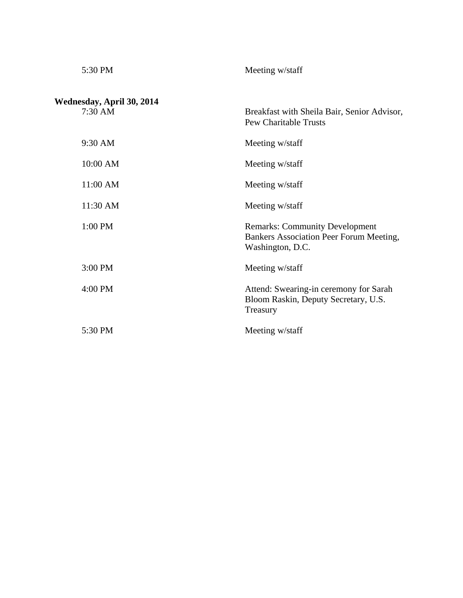| 5:30 PM                                        | Meeting w/staff                                                                                      |
|------------------------------------------------|------------------------------------------------------------------------------------------------------|
| Wednesday, April 30, 2014<br>$7:30 \text{ AM}$ | Breakfast with Sheila Bair, Senior Advisor,<br><b>Pew Charitable Trusts</b>                          |
| 9:30 AM                                        | Meeting w/staff                                                                                      |
| 10:00 AM                                       | Meeting w/staff                                                                                      |
| 11:00 AM                                       | Meeting w/staff                                                                                      |
| 11:30 AM                                       | Meeting w/staff                                                                                      |
| 1:00 PM                                        | <b>Remarks: Community Development</b><br>Bankers Association Peer Forum Meeting,<br>Washington, D.C. |
| 3:00 PM                                        | Meeting w/staff                                                                                      |
| 4:00 PM                                        | Attend: Swearing-in ceremony for Sarah<br>Bloom Raskin, Deputy Secretary, U.S.<br>Treasury           |
| 5:30 PM                                        | Meeting w/staff                                                                                      |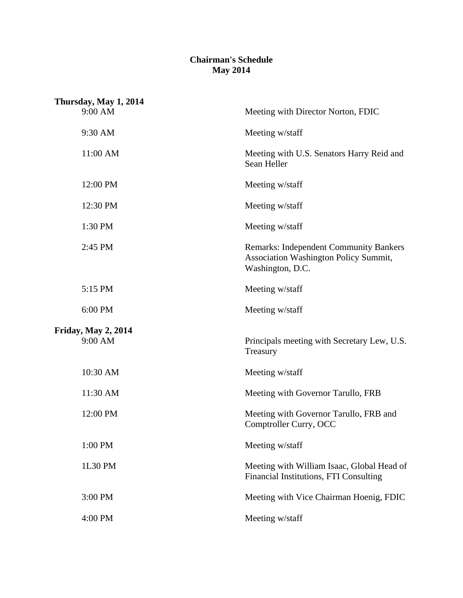## **Chairman's Schedule May 2014**

| Thursday, May 1, 2014      |                                                                                                                   |
|----------------------------|-------------------------------------------------------------------------------------------------------------------|
| 9:00 AM                    | Meeting with Director Norton, FDIC                                                                                |
| 9:30 AM                    | Meeting w/staff                                                                                                   |
| 11:00 AM                   | Meeting with U.S. Senators Harry Reid and<br>Sean Heller                                                          |
| 12:00 PM                   | Meeting w/staff                                                                                                   |
| 12:30 PM                   | Meeting w/staff                                                                                                   |
| 1:30 PM                    | Meeting w/staff                                                                                                   |
| 2:45 PM                    | <b>Remarks: Independent Community Bankers</b><br><b>Association Washington Policy Summit,</b><br>Washington, D.C. |
| 5:15 PM                    | Meeting w/staff                                                                                                   |
| 6:00 PM                    | Meeting w/staff                                                                                                   |
| <b>Friday, May 2, 2014</b> |                                                                                                                   |
| 9:00 AM                    | Principals meeting with Secretary Lew, U.S.<br>Treasury                                                           |
| 10:30 AM                   | Meeting w/staff                                                                                                   |
| 11:30 AM                   | Meeting with Governor Tarullo, FRB                                                                                |
| 12:00 PM                   | Meeting with Governor Tarullo, FRB and<br>Comptroller Curry, OCC                                                  |
| 1:00 PM                    | Meeting w/staff                                                                                                   |
| 1L30 PM                    | Meeting with William Isaac, Global Head of<br>Financial Institutions, FTI Consulting                              |
| 3:00 PM                    | Meeting with Vice Chairman Hoenig, FDIC                                                                           |
| 4:00 PM                    | Meeting w/staff                                                                                                   |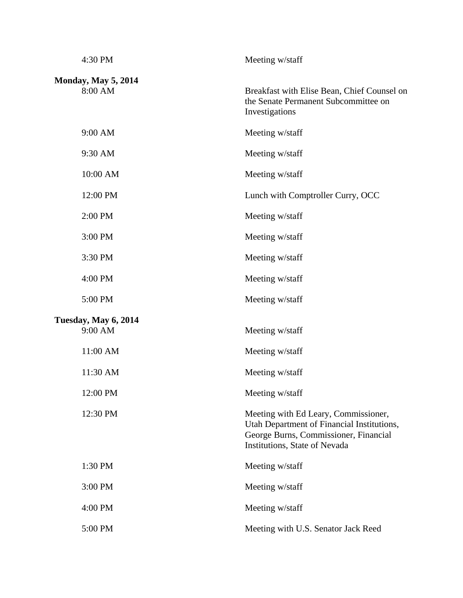| 4:30 PM                               | Meeting w/staff                                                                                                                                              |
|---------------------------------------|--------------------------------------------------------------------------------------------------------------------------------------------------------------|
| <b>Monday, May 5, 2014</b><br>8:00 AM | Breakfast with Elise Bean, Chief Counsel on<br>the Senate Permanent Subcommittee on<br>Investigations                                                        |
| 9:00 AM                               | Meeting w/staff                                                                                                                                              |
| 9:30 AM                               | Meeting w/staff                                                                                                                                              |
| 10:00 AM                              | Meeting w/staff                                                                                                                                              |
| 12:00 PM                              | Lunch with Comptroller Curry, OCC                                                                                                                            |
| 2:00 PM                               | Meeting w/staff                                                                                                                                              |
| 3:00 PM                               | Meeting w/staff                                                                                                                                              |
| 3:30 PM                               | Meeting w/staff                                                                                                                                              |
| 4:00 PM                               | Meeting w/staff                                                                                                                                              |
| 5:00 PM                               | Meeting w/staff                                                                                                                                              |
| Tuesday, May 6, 2014<br>9:00 AM       | Meeting w/staff                                                                                                                                              |
| 11:00 AM                              | Meeting w/staff                                                                                                                                              |
| 11:30 AM                              | Meeting w/staff                                                                                                                                              |
| 12:00 PM                              | Meeting w/staff                                                                                                                                              |
| 12:30 PM                              | Meeting with Ed Leary, Commissioner,<br>Utah Department of Financial Institutions,<br>George Burns, Commissioner, Financial<br>Institutions, State of Nevada |
| 1:30 PM                               | Meeting w/staff                                                                                                                                              |
| 3:00 PM                               | Meeting w/staff                                                                                                                                              |
| 4:00 PM                               | Meeting w/staff                                                                                                                                              |
| 5:00 PM                               | Meeting with U.S. Senator Jack Reed                                                                                                                          |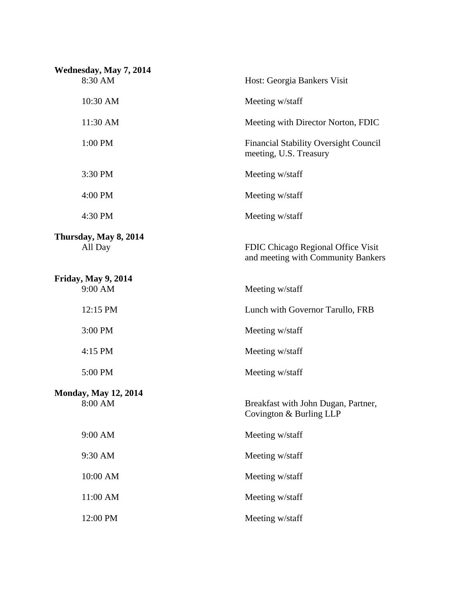| Wednesday, May 7, 2014                 |                                                                          |
|----------------------------------------|--------------------------------------------------------------------------|
| 8:30 AM                                | Host: Georgia Bankers Visit                                              |
| 10:30 AM                               | Meeting w/staff                                                          |
| 11:30 AM                               | Meeting with Director Norton, FDIC                                       |
| 1:00 PM                                | <b>Financial Stability Oversight Council</b><br>meeting, U.S. Treasury   |
| 3:30 PM                                | Meeting w/staff                                                          |
| 4:00 PM                                | Meeting w/staff                                                          |
| 4:30 PM                                | Meeting w/staff                                                          |
| Thursday, May 8, 2014<br>All Day       | FDIC Chicago Regional Office Visit<br>and meeting with Community Bankers |
| <b>Friday, May 9, 2014</b><br>9:00 AM  | Meeting w/staff                                                          |
| 12:15 PM                               | Lunch with Governor Tarullo, FRB                                         |
| 3:00 PM                                | Meeting w/staff                                                          |
| 4:15 PM                                | Meeting w/staff                                                          |
| 5:00 PM                                | Meeting w/staff                                                          |
| <b>Monday, May 12, 2014</b><br>8:00 AM | Breakfast with John Dugan, Partner,<br>Covington & Burling LLP           |
| 9:00 AM                                | Meeting w/staff                                                          |
| 9:30 AM                                | Meeting w/staff                                                          |
| 10:00 AM                               | Meeting w/staff                                                          |
| 11:00 AM                               | Meeting w/staff                                                          |
| 12:00 PM                               | Meeting w/staff                                                          |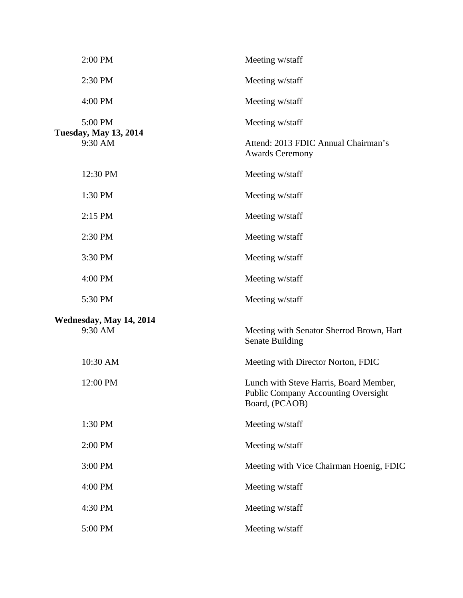| 2:00 PM                                 | Meeting w/staff                                                                                        |
|-----------------------------------------|--------------------------------------------------------------------------------------------------------|
| 2:30 PM                                 | Meeting w/staff                                                                                        |
| 4:00 PM                                 | Meeting w/staff                                                                                        |
| 5:00 PM<br><b>Tuesday, May 13, 2014</b> | Meeting w/staff                                                                                        |
| 9:30 AM                                 | Attend: 2013 FDIC Annual Chairman's<br><b>Awards Ceremony</b>                                          |
| 12:30 PM                                | Meeting w/staff                                                                                        |
| 1:30 PM                                 | Meeting w/staff                                                                                        |
| 2:15 PM                                 | Meeting w/staff                                                                                        |
| 2:30 PM                                 | Meeting w/staff                                                                                        |
| 3:30 PM                                 | Meeting w/staff                                                                                        |
| 4:00 PM                                 | Meeting w/staff                                                                                        |
| 5:30 PM                                 | Meeting w/staff                                                                                        |
| Wednesday, May 14, 2014<br>9:30 AM      | Meeting with Senator Sherrod Brown, Hart<br><b>Senate Building</b>                                     |
| 10:30 AM                                | Meeting with Director Norton, FDIC                                                                     |
| 12:00 PM                                | Lunch with Steve Harris, Board Member,<br><b>Public Company Accounting Oversight</b><br>Board, (PCAOB) |
| 1:30 PM                                 | Meeting w/staff                                                                                        |
| 2:00 PM                                 | Meeting w/staff                                                                                        |
| 3:00 PM                                 | Meeting with Vice Chairman Hoenig, FDIC                                                                |
| 4:00 PM                                 | Meeting w/staff                                                                                        |
| 4:30 PM                                 | Meeting w/staff                                                                                        |
| 5:00 PM                                 | Meeting w/staff                                                                                        |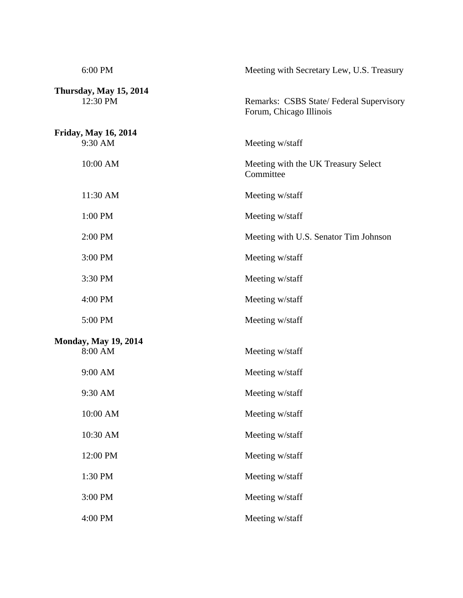| 6:00 PM                                | Meeting with Secretary Lew, U.S. Treasury                          |
|----------------------------------------|--------------------------------------------------------------------|
| Thursday, May 15, 2014<br>12:30 PM     | Remarks: CSBS State/Federal Supervisory<br>Forum, Chicago Illinois |
| <b>Friday, May 16, 2014</b><br>9:30 AM | Meeting w/staff                                                    |
| 10:00 AM                               | Meeting with the UK Treasury Select<br>Committee                   |
| 11:30 AM                               | Meeting w/staff                                                    |
| 1:00 PM                                | Meeting w/staff                                                    |
| 2:00 PM                                | Meeting with U.S. Senator Tim Johnson                              |
| 3:00 PM                                | Meeting w/staff                                                    |
| 3:30 PM                                | Meeting w/staff                                                    |
| 4:00 PM                                | Meeting w/staff                                                    |
| 5:00 PM                                | Meeting w/staff                                                    |
| <b>Monday, May 19, 2014</b><br>8:00 AM | Meeting w/staff                                                    |
| 9:00 AM                                | Meeting w/staff                                                    |
| 9:30 AM                                | Meeting w/staff                                                    |
| 10:00 AM                               | Meeting w/staff                                                    |
| 10:30 AM                               | Meeting w/staff                                                    |
| 12:00 PM                               | Meeting w/staff                                                    |
| 1:30 PM                                | Meeting w/staff                                                    |
| 3:00 PM                                | Meeting w/staff                                                    |
| 4:00 PM                                | Meeting w/staff                                                    |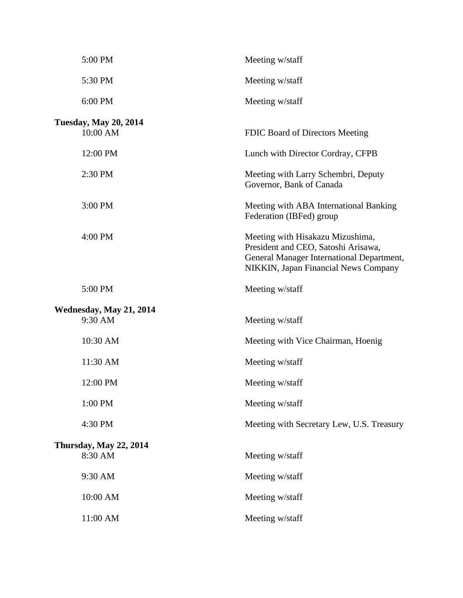| 5:00 PM                                  | Meeting w/staff                                                                                                                                                     |
|------------------------------------------|---------------------------------------------------------------------------------------------------------------------------------------------------------------------|
| 5:30 PM                                  | Meeting w/staff                                                                                                                                                     |
| 6:00 PM                                  | Meeting w/staff                                                                                                                                                     |
| <b>Tuesday, May 20, 2014</b><br>10:00 AM | FDIC Board of Directors Meeting                                                                                                                                     |
| 12:00 PM                                 | Lunch with Director Cordray, CFPB                                                                                                                                   |
| 2:30 PM                                  | Meeting with Larry Schembri, Deputy<br>Governor, Bank of Canada                                                                                                     |
| 3:00 PM                                  | Meeting with ABA International Banking<br>Federation (IBFed) group                                                                                                  |
| 4:00 PM                                  | Meeting with Hisakazu Mizushima,<br>President and CEO, Satoshi Arisawa,<br>General Manager International Department,<br><b>NIKKIN, Japan Financial News Company</b> |
| 5:00 PM                                  | Meeting w/staff                                                                                                                                                     |
| Wednesday, May 21, 2014<br>9:30 AM       | Meeting w/staff                                                                                                                                                     |
| 10:30 AM                                 | Meeting with Vice Chairman, Hoenig                                                                                                                                  |
| 11:30 AM                                 | Meeting w/staff                                                                                                                                                     |
| 12:00 PM                                 | Meeting w/staff                                                                                                                                                     |
| 1:00 PM                                  | Meeting w/staff                                                                                                                                                     |
| 4:30 PM                                  | Meeting with Secretary Lew, U.S. Treasury                                                                                                                           |
| <b>Thursday, May 22, 2014</b><br>8:30 AM | Meeting w/staff                                                                                                                                                     |
| 9:30 AM                                  | Meeting w/staff                                                                                                                                                     |
| 10:00 AM                                 | Meeting w/staff                                                                                                                                                     |
| 11:00 AM                                 | Meeting w/staff                                                                                                                                                     |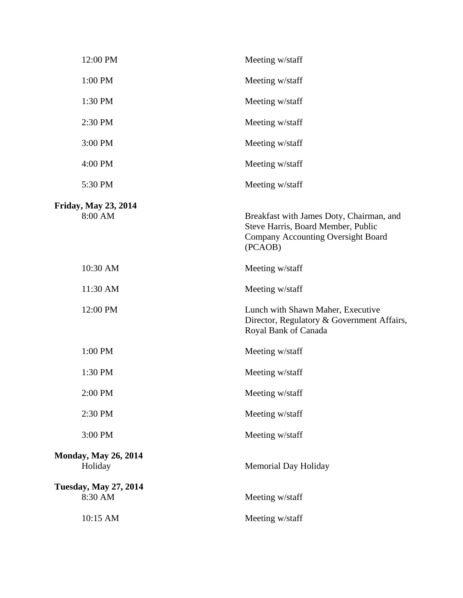| 12:00 PM                                | Meeting w/staff                                                                                                                        |
|-----------------------------------------|----------------------------------------------------------------------------------------------------------------------------------------|
| 1:00 PM                                 | Meeting w/staff                                                                                                                        |
| 1:30 PM                                 | Meeting w/staff                                                                                                                        |
| 2:30 PM                                 | Meeting w/staff                                                                                                                        |
| 3:00 PM                                 | Meeting w/staff                                                                                                                        |
| 4:00 PM                                 | Meeting w/staff                                                                                                                        |
| 5:30 PM                                 | Meeting w/staff                                                                                                                        |
| Friday, May 23, 2014<br>8:00 AM         | Breakfast with James Doty, Chairman, and<br>Steve Harris, Board Member, Public<br><b>Company Accounting Oversight Board</b><br>(PCAOB) |
| 10:30 AM                                | Meeting w/staff                                                                                                                        |
| 11:30 AM                                | Meeting w/staff                                                                                                                        |
| 12:00 PM                                | Lunch with Shawn Maher, Executive<br>Director, Regulatory & Government Affairs,<br>Royal Bank of Canada                                |
| 1:00 PM                                 | Meeting w/staff                                                                                                                        |
| 1:30 PM                                 | Meeting w/staff                                                                                                                        |
| 2:00 PM                                 | Meeting w/staff                                                                                                                        |
| 2:30 PM                                 | Meeting w/staff                                                                                                                        |
| 3:00 PM                                 | Meeting w/staff                                                                                                                        |
| <b>Monday, May 26, 2014</b><br>Holiday  | Memorial Day Holiday                                                                                                                   |
| <b>Tuesday, May 27, 2014</b><br>8:30 AM | Meeting w/staff                                                                                                                        |
| 10:15 AM                                | Meeting w/staff                                                                                                                        |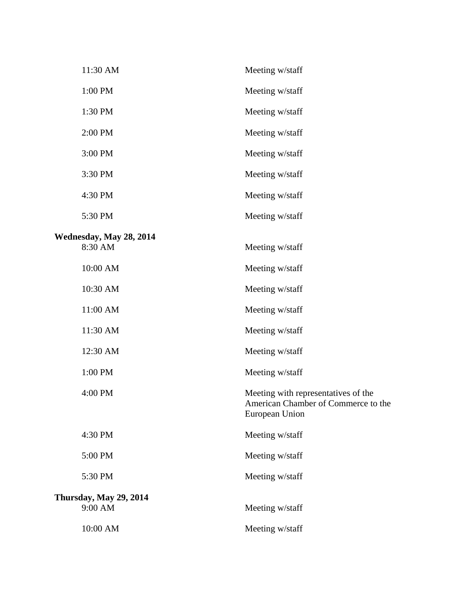| 11:30 AM                      | Meeting w/staff                                                                              |
|-------------------------------|----------------------------------------------------------------------------------------------|
| 1:00 PM                       | Meeting w/staff                                                                              |
| 1:30 PM                       | Meeting w/staff                                                                              |
| 2:00 PM                       | Meeting w/staff                                                                              |
| 3:00 PM                       | Meeting w/staff                                                                              |
| 3:30 PM                       | Meeting w/staff                                                                              |
| 4:30 PM                       | Meeting w/staff                                                                              |
| 5:30 PM                       | Meeting w/staff                                                                              |
| Wednesday, May 28, 2014       |                                                                                              |
| 8:30 AM                       | Meeting w/staff                                                                              |
| 10:00 AM                      | Meeting w/staff                                                                              |
| 10:30 AM                      | Meeting w/staff                                                                              |
| 11:00 AM                      | Meeting w/staff                                                                              |
| 11:30 AM                      | Meeting w/staff                                                                              |
| 12:30 AM                      | Meeting w/staff                                                                              |
| 1:00 PM                       | Meeting w/staff                                                                              |
| 4:00 PM                       | Meeting with representatives of the<br>American Chamber of Commerce to the<br>European Union |
| 4:30 PM                       | Meeting w/staff                                                                              |
| 5:00 PM                       | Meeting w/staff                                                                              |
| 5:30 PM                       | Meeting w/staff                                                                              |
| <b>Thursday, May 29, 2014</b> |                                                                                              |
| 9:00 AM                       | Meeting w/staff                                                                              |
| 10:00 AM                      | Meeting w/staff                                                                              |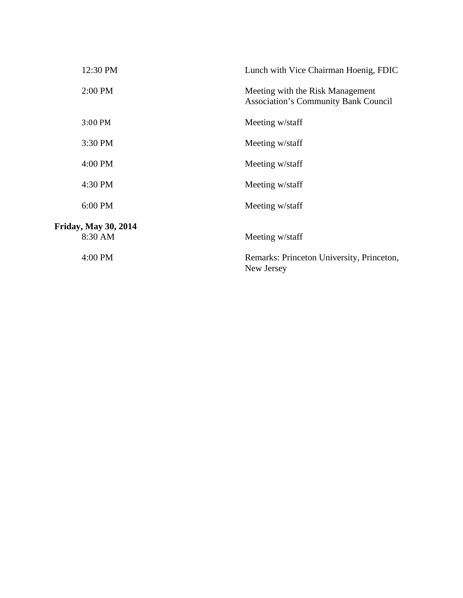| 12:30 PM                    | Lunch with Vice Chairman Hoenig, FDIC                                           |
|-----------------------------|---------------------------------------------------------------------------------|
| 2:00 PM                     | Meeting with the Risk Management<br><b>Association's Community Bank Council</b> |
| 3:00 PM                     | Meeting w/staff                                                                 |
| 3:30 PM                     | Meeting w/staff                                                                 |
| 4:00 PM                     | Meeting w/staff                                                                 |
| 4:30 PM                     | Meeting w/staff                                                                 |
| 6:00 PM                     | Meeting w/staff                                                                 |
| <b>Friday, May 30, 2014</b> |                                                                                 |
| 8:30 AM                     | Meeting w/staff                                                                 |
| 4:00 PM                     | Remarks: Princeton University, Princeton,<br>New Jersey                         |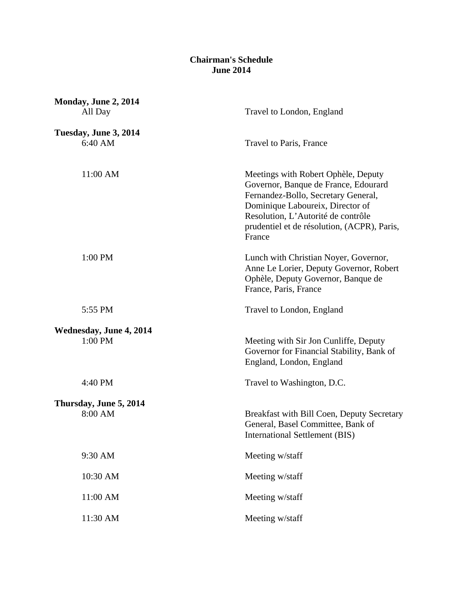## **Chairman's Schedule June 2014**

| Monday, June 2, 2014<br>All Day  | Travel to London, England                                                                                                                                                                                                                             |
|----------------------------------|-------------------------------------------------------------------------------------------------------------------------------------------------------------------------------------------------------------------------------------------------------|
| Tuesday, June 3, 2014<br>6:40 AM | Travel to Paris, France                                                                                                                                                                                                                               |
| 11:00 AM                         | Meetings with Robert Ophèle, Deputy<br>Governor, Banque de France, Edourard<br>Fernandez-Bollo, Secretary General,<br>Dominique Laboureix, Director of<br>Resolution, L'Autorité de contrôle<br>prudentiel et de résolution, (ACPR), Paris,<br>France |
| 1:00 PM                          | Lunch with Christian Noyer, Governor,<br>Anne Le Lorier, Deputy Governor, Robert<br>Ophèle, Deputy Governor, Banque de<br>France, Paris, France                                                                                                       |
| 5:55 PM                          | Travel to London, England                                                                                                                                                                                                                             |
| Wednesday, June 4, 2014          |                                                                                                                                                                                                                                                       |
| 1:00 PM                          | Meeting with Sir Jon Cunliffe, Deputy<br>Governor for Financial Stability, Bank of<br>England, London, England                                                                                                                                        |
| 4:40 PM                          | Travel to Washington, D.C.                                                                                                                                                                                                                            |
| Thursday, June 5, 2014           |                                                                                                                                                                                                                                                       |
| 8:00 AM                          | Breakfast with Bill Coen, Deputy Secretary<br>General, Basel Committee, Bank of<br><b>International Settlement (BIS)</b>                                                                                                                              |
| 9:30 AM                          | Meeting w/staff                                                                                                                                                                                                                                       |
| 10:30 AM                         | Meeting w/staff                                                                                                                                                                                                                                       |
| 11:00 AM                         | Meeting w/staff                                                                                                                                                                                                                                       |
| 11:30 AM                         | Meeting w/staff                                                                                                                                                                                                                                       |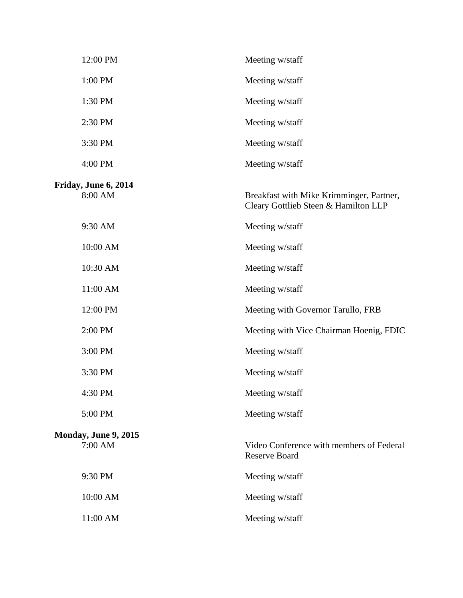|                                 | 12:00 PM | Meeting w/staff                                                                  |
|---------------------------------|----------|----------------------------------------------------------------------------------|
| 1:00 PM                         |          | Meeting w/staff                                                                  |
| 1:30 PM                         |          | Meeting w/staff                                                                  |
| 2:30 PM                         |          | Meeting w/staff                                                                  |
| 3:30 PM                         |          | Meeting w/staff                                                                  |
| 4:00 PM                         |          | Meeting w/staff                                                                  |
| Friday, June 6, 2014<br>8:00 AM |          | Breakfast with Mike Krimminger, Partner,<br>Cleary Gottlieb Steen & Hamilton LLP |
| 9:30 AM                         |          | Meeting w/staff                                                                  |
|                                 | 10:00 AM | Meeting w/staff                                                                  |
|                                 | 10:30 AM | Meeting w/staff                                                                  |
|                                 | 11:00 AM | Meeting w/staff                                                                  |
|                                 | 12:00 PM | Meeting with Governor Tarullo, FRB                                               |
| 2:00 PM                         |          | Meeting with Vice Chairman Hoenig, FDIC                                          |
| 3:00 PM                         |          | Meeting w/staff                                                                  |
| 3:30 PM                         |          | Meeting w/staff                                                                  |
| 4:30 PM                         |          | Meeting w/staff                                                                  |
| 5:00 PM                         |          | Meeting w/staff                                                                  |
| Monday, June 9, 2015<br>7:00 AM |          | Video Conference with members of Federal<br><b>Reserve Board</b>                 |
| 9:30 PM                         |          | Meeting w/staff                                                                  |
|                                 | 10:00 AM | Meeting w/staff                                                                  |
|                                 | 11:00 AM | Meeting w/staff                                                                  |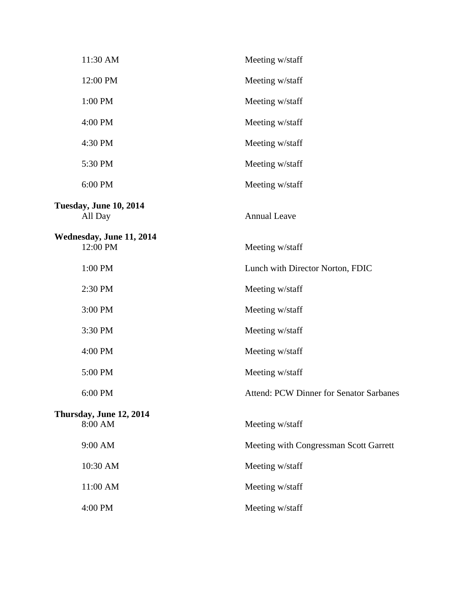| 11:30 AM                             | Meeting w/staff                                |
|--------------------------------------|------------------------------------------------|
| 12:00 PM                             | Meeting w/staff                                |
| 1:00 PM                              | Meeting w/staff                                |
| 4:00 PM                              | Meeting w/staff                                |
| 4:30 PM                              | Meeting w/staff                                |
| 5:30 PM                              | Meeting w/staff                                |
| 6:00 PM                              | Meeting w/staff                                |
| Tuesday, June 10, 2014<br>All Day    | <b>Annual Leave</b>                            |
| Wednesday, June 11, 2014<br>12:00 PM | Meeting w/staff                                |
| 1:00 PM                              | Lunch with Director Norton, FDIC               |
| 2:30 PM                              | Meeting w/staff                                |
| 3:00 PM                              | Meeting w/staff                                |
| 3:30 PM                              | Meeting w/staff                                |
| 4:00 PM                              | Meeting w/staff                                |
| 5:00 PM                              | Meeting w/staff                                |
| 6:00 PM                              | <b>Attend: PCW Dinner for Senator Sarbanes</b> |
| Thursday, June 12, 2014<br>8:00 AM   | Meeting w/staff                                |
| 9:00 AM                              | Meeting with Congressman Scott Garrett         |
| 10:30 AM                             | Meeting w/staff                                |
| 11:00 AM                             | Meeting w/staff                                |
| 4:00 PM                              | Meeting w/staff                                |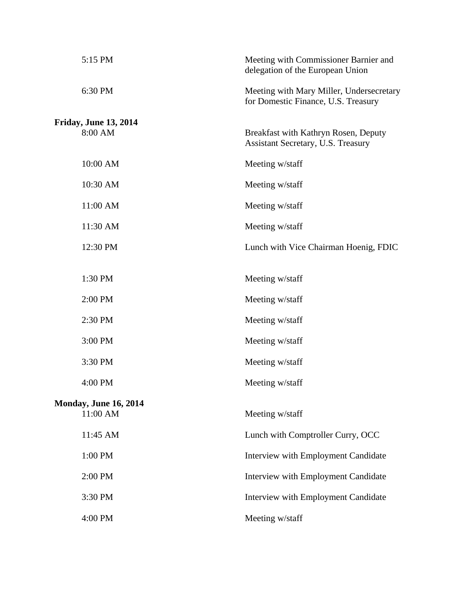| 5:15 PM                      | Meeting with Commissioner Barnier and<br>delegation of the European Union       |
|------------------------------|---------------------------------------------------------------------------------|
| 6:30 PM                      | Meeting with Mary Miller, Undersecretary<br>for Domestic Finance, U.S. Treasury |
| <b>Friday, June 13, 2014</b> |                                                                                 |
| 8:00 AM                      | Breakfast with Kathryn Rosen, Deputy<br>Assistant Secretary, U.S. Treasury      |
| 10:00 AM                     | Meeting w/staff                                                                 |
| 10:30 AM                     | Meeting w/staff                                                                 |
| 11:00 AM                     | Meeting w/staff                                                                 |
| 11:30 AM                     | Meeting w/staff                                                                 |
| 12:30 PM                     | Lunch with Vice Chairman Hoenig, FDIC                                           |
|                              |                                                                                 |
| 1:30 PM                      | Meeting w/staff                                                                 |
| 2:00 PM                      | Meeting w/staff                                                                 |
| 2:30 PM                      | Meeting w/staff                                                                 |
| 3:00 PM                      | Meeting w/staff                                                                 |
| 3:30 PM                      | Meeting w/staff                                                                 |
| 4:00 PM                      | Meeting w/staff                                                                 |
| <b>Monday, June 16, 2014</b> |                                                                                 |
| 11:00 AM                     | Meeting w/staff                                                                 |
| 11:45 AM                     | Lunch with Comptroller Curry, OCC                                               |
| 1:00 PM                      | <b>Interview with Employment Candidate</b>                                      |
| 2:00 PM                      | Interview with Employment Candidate                                             |
| 3:30 PM                      | Interview with Employment Candidate                                             |
| 4:00 PM                      | Meeting w/staff                                                                 |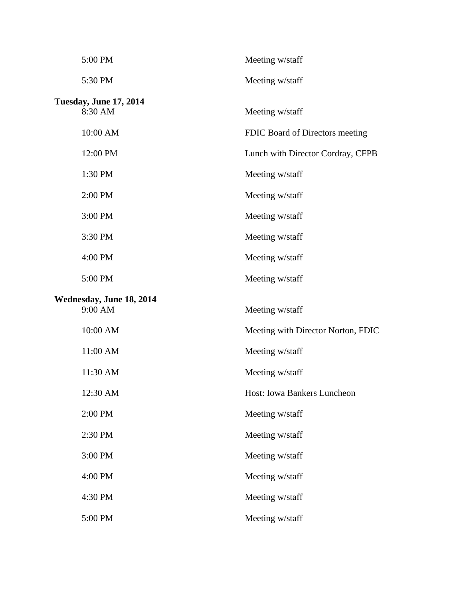| 5:00 PM                                  | Meeting w/staff                    |
|------------------------------------------|------------------------------------|
| 5:30 PM                                  | Meeting w/staff                    |
| <b>Tuesday, June 17, 2014</b><br>8:30 AM | Meeting w/staff                    |
| 10:00 AM                                 | FDIC Board of Directors meeting    |
| 12:00 PM                                 | Lunch with Director Cordray, CFPB  |
| 1:30 PM                                  | Meeting w/staff                    |
| 2:00 PM                                  | Meeting w/staff                    |
| 3:00 PM                                  | Meeting w/staff                    |
| 3:30 PM                                  | Meeting w/staff                    |
| 4:00 PM                                  | Meeting w/staff                    |
| 5:00 PM                                  | Meeting w/staff                    |
|                                          |                                    |
| Wednesday, June 18, 2014<br>9:00 AM      | Meeting w/staff                    |
| 10:00 AM                                 | Meeting with Director Norton, FDIC |
| 11:00 AM                                 | Meeting w/staff                    |
| 11:30 AM                                 | Meeting w/staff                    |
| 12:30 AM                                 | <b>Host: Iowa Bankers Luncheon</b> |
| 2:00 PM                                  | Meeting w/staff                    |
| 2:30 PM                                  | Meeting w/staff                    |
| 3:00 PM                                  | Meeting w/staff                    |
| 4:00 PM                                  | Meeting w/staff                    |
| 4:30 PM                                  | Meeting w/staff                    |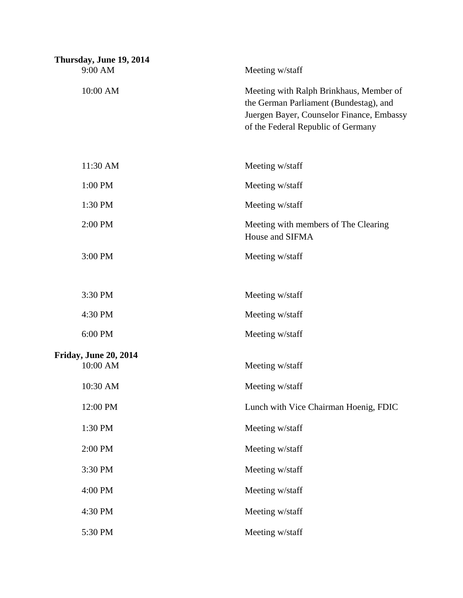| Thursday, June 19, 2014<br>9:00 AM       | Meeting w/staff                                                                                                                                                      |
|------------------------------------------|----------------------------------------------------------------------------------------------------------------------------------------------------------------------|
| 10:00 AM                                 | Meeting with Ralph Brinkhaus, Member of<br>the German Parliament (Bundestag), and<br>Juergen Bayer, Counselor Finance, Embassy<br>of the Federal Republic of Germany |
| 11:30 AM                                 | Meeting w/staff                                                                                                                                                      |
| 1:00 PM                                  | Meeting w/staff                                                                                                                                                      |
| 1:30 PM                                  | Meeting w/staff                                                                                                                                                      |
| 2:00 PM                                  | Meeting with members of The Clearing<br>House and SIFMA                                                                                                              |
| 3:00 PM                                  | Meeting w/staff                                                                                                                                                      |
| 3:30 PM                                  | Meeting w/staff                                                                                                                                                      |
| 4:30 PM                                  | Meeting w/staff                                                                                                                                                      |
| 6:00 PM                                  | Meeting w/staff                                                                                                                                                      |
| <b>Friday, June 20, 2014</b><br>10:00 AM | Meeting w/staff                                                                                                                                                      |
| 10:30 AM                                 | Meeting w/staff                                                                                                                                                      |
| 12:00 PM                                 | Lunch with Vice Chairman Hoenig, FDIC                                                                                                                                |
| 1:30 PM                                  | Meeting w/staff                                                                                                                                                      |
| 2:00 PM                                  | Meeting w/staff                                                                                                                                                      |
| 3:30 PM                                  | Meeting w/staff                                                                                                                                                      |
| 4:00 PM                                  | Meeting w/staff                                                                                                                                                      |
| 4:30 PM                                  | Meeting w/staff                                                                                                                                                      |
| 5:30 PM                                  | Meeting w/staff                                                                                                                                                      |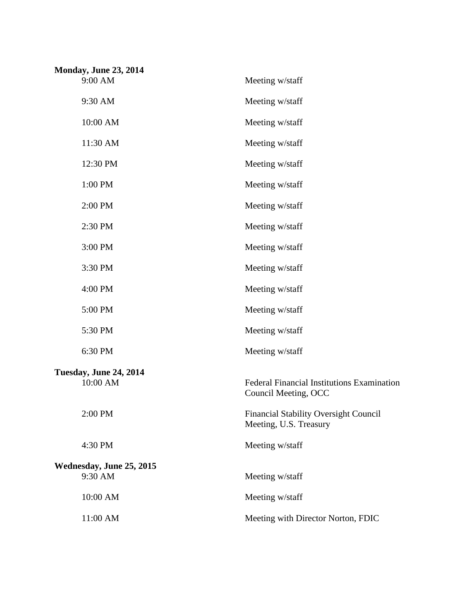| <b>Monday, June 23, 2014</b><br>9:00 AM | Meeting w/staff                                                           |
|-----------------------------------------|---------------------------------------------------------------------------|
| 9:30 AM                                 | Meeting w/staff                                                           |
| 10:00 AM                                | Meeting w/staff                                                           |
| 11:30 AM                                | Meeting w/staff                                                           |
| 12:30 PM                                | Meeting w/staff                                                           |
| 1:00 PM                                 | Meeting w/staff                                                           |
| 2:00 PM                                 | Meeting w/staff                                                           |
| 2:30 PM                                 | Meeting w/staff                                                           |
| 3:00 PM                                 | Meeting w/staff                                                           |
| 3:30 PM                                 | Meeting w/staff                                                           |
| 4:00 PM                                 | Meeting w/staff                                                           |
| 5:00 PM                                 | Meeting w/staff                                                           |
| 5:30 PM                                 | Meeting w/staff                                                           |
| 6:30 PM                                 | Meeting w/staff                                                           |
| Tuesday, June 24, 2014<br>10:00 AM      | <b>Federal Financial Institutions Examination</b><br>Council Meeting, OCC |
| 2:00 PM                                 | <b>Financial Stability Oversight Council</b><br>Meeting, U.S. Treasury    |
| 4:30 PM                                 | Meeting w/staff                                                           |
| Wednesday, June 25, 2015<br>9:30 AM     | Meeting w/staff                                                           |
| 10:00 AM                                | Meeting w/staff                                                           |
| 11:00 AM                                | Meeting with Director Norton, FDIC                                        |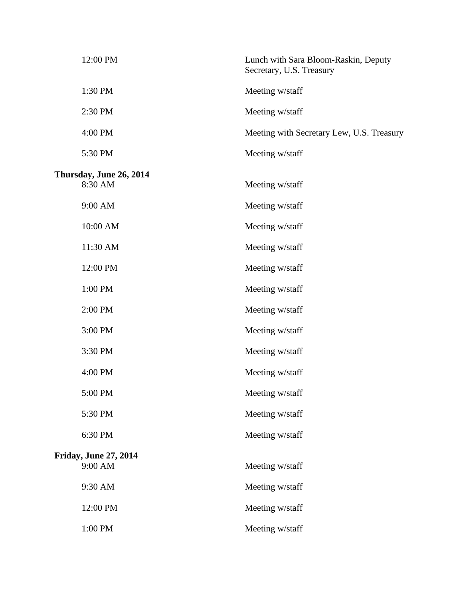|                              | 12:00 PM | Lunch with Sara Bloom-Raskin, Deputy<br>Secretary, U.S. Treasury |  |
|------------------------------|----------|------------------------------------------------------------------|--|
|                              | 1:30 PM  | Meeting w/staff                                                  |  |
|                              | 2:30 PM  | Meeting w/staff                                                  |  |
|                              | 4:00 PM  | Meeting with Secretary Lew, U.S. Treasury                        |  |
|                              | 5:30 PM  | Meeting w/staff                                                  |  |
| Thursday, June 26, 2014      |          |                                                                  |  |
|                              | 8:30 AM  | Meeting w/staff                                                  |  |
|                              | 9:00 AM  | Meeting w/staff                                                  |  |
|                              | 10:00 AM | Meeting w/staff                                                  |  |
|                              | 11:30 AM | Meeting w/staff                                                  |  |
|                              | 12:00 PM | Meeting w/staff                                                  |  |
|                              | 1:00 PM  | Meeting w/staff                                                  |  |
|                              | 2:00 PM  | Meeting w/staff                                                  |  |
|                              | 3:00 PM  | Meeting w/staff                                                  |  |
|                              | 3:30 PM  | Meeting w/staff                                                  |  |
|                              | 4:00 PM  | Meeting w/staff                                                  |  |
|                              | 5:00 PM  | Meeting w/staff                                                  |  |
|                              | 5:30 PM  | Meeting w/staff                                                  |  |
|                              | 6:30 PM  | Meeting w/staff                                                  |  |
| <b>Friday, June 27, 2014</b> |          |                                                                  |  |
|                              | 9:00 AM  | Meeting w/staff                                                  |  |
|                              | 9:30 AM  | Meeting w/staff                                                  |  |
|                              | 12:00 PM | Meeting w/staff                                                  |  |
|                              | 1:00 PM  | Meeting w/staff                                                  |  |